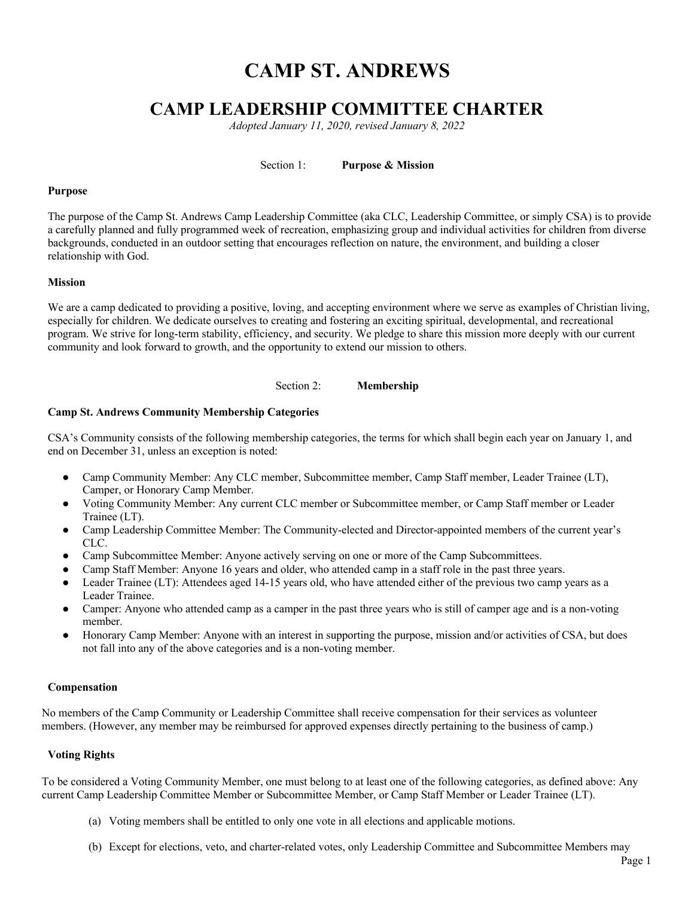# **CAMP ST. ANDREWS**

# **CAMP LEADERSHIP COMMITTEE CHARTER**

*Adopted January 11, 2020, revised January 8, 2022*

Section 1: **Purpose & Mission**

#### **Purpose**

The purpose of the Camp St. Andrews Camp Leadership Committee (aka CLC, Leadership Committee, or simply CSA) is to provide a carefully planned and fully programmed week of recreation, emphasizing group and individual activities for children from diverse backgrounds, conducted in an outdoor setting that encourages reflection on nature, the environment, and building a closer relationship with God.

#### **Mission**

We are a camp dedicated to providing a positive, loving, and accepting environment where we serve as examples of Christian living, especially for children. We dedicate ourselves to creating and fostering an exciting spiritual, developmental, and recreational program. We strive for long-term stability, efficiency, and security. We pledge to share this mission more deeply with our current community and look forward to growth, and the opportunity to extend our mission to others.

#### Section 2: **Membership**

#### **Camp St. Andrews Community Membership Categories**

CSA's Community consists of the following membership categories, the terms for which shall begin each year on January 1, and end on December 31, unless an exception is noted:

- Camp Community Member: Any CLC member, Subcommittee member, Camp Staff member, Leader Trainee (LT), Camper, or Honorary Camp Member.
- Voting Community Member: Any current CLC member or Subcommittee member, or Camp Staff member or Leader Trainee (LT).
- Camp Leadership Committee Member: The Community-elected and Director-appointed members of the current year's CLC.
- Camp Subcommittee Member: Anyone actively serving on one or more of the Camp Subcommittees.
- Camp Staff Member: Anyone 16 years and older, who attended camp in a staff role in the past three years.
- Leader Trainee (LT): Attendees aged  $14-15$  years old, who have attended either of the previous two camp years as a Leader Trainee.
- Camper: Anyone who attended camp as a camper in the past three years who is still of camper age and is a non-voting member.
- Honorary Camp Member: Anyone with an interest in supporting the purpose, mission and/or activities of CSA, but does not fall into any of the above categories and is a non-voting member.

#### **Compensation**

No members of the Camp Community or Leadership Committee shall receive compensation for their services as volunteer members. (However, any member may be reimbursed for approved expenses directly pertaining to the business of camp.)

# **Voting Rights**

To be considered a Voting Community Member, one must belong to at least one of the following categories, as defined above: Any current Camp Leadership Committee Member or Subcommittee Member, or Camp Staff Member or Leader Trainee (LT).

- (a) Voting members shall be entitled to only one vote in all elections and applicable motions.
- (b) Except for elections, veto, and charter-related votes, only Leadership Committee and Subcommittee Members may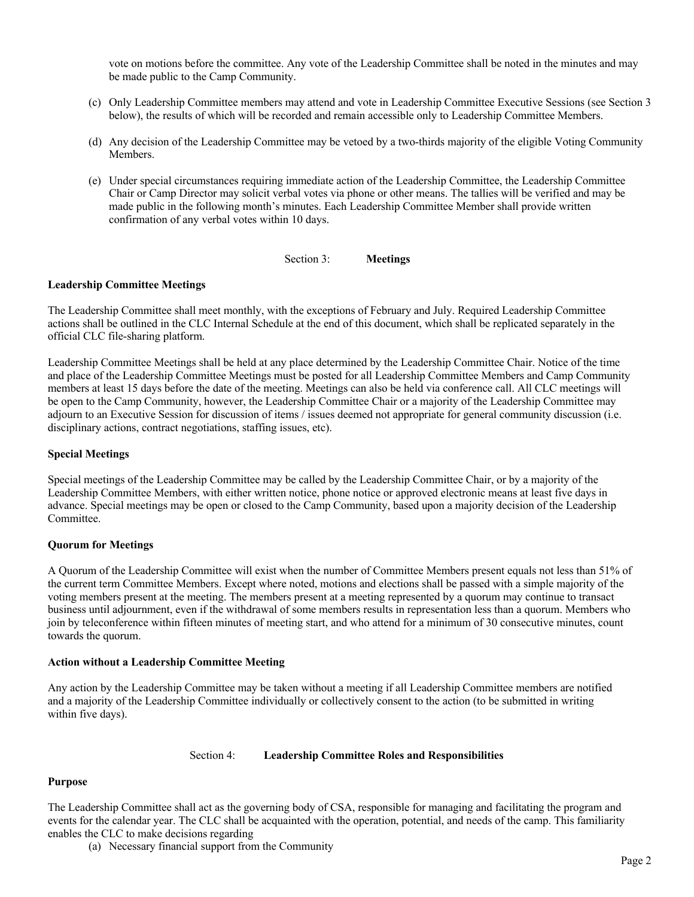vote on motions before the committee. Any vote of the Leadership Committee shall be noted in the minutes and may be made public to the Camp Community.

- (c) Only Leadership Committee members may attend and vote in Leadership Committee Executive Sessions (see Section 3 below), the results of which will be recorded and remain accessible only to Leadership Committee Members.
- (d) Any decision of the Leadership Committee may be vetoed by a two-thirds majority of the eligible Voting Community Members.
- (e) Under special circumstances requiring immediate action of the Leadership Committee, the Leadership Committee Chair or Camp Director may solicit verbal votes via phone or other means. The tallies will be verified and may be made public in the following month's minutes. Each Leadership Committee Member shall provide written confirmation of any verbal votes within 10 days.

#### Section 3: **Meetings**

#### **Leadership Committee Meetings**

The Leadership Committee shall meet monthly, with the exceptions of February and July. Required Leadership Committee actions shall be outlined in the CLC Internal Schedule at the end of this document, which shall be replicated separately in the official CLC file-sharing platform.

Leadership Committee Meetings shall be held at any place determined by the Leadership Committee Chair. Notice of the time and place of the Leadership Committee Meetings must be posted for all Leadership Committee Members and Camp Community members at least 15 days before the date of the meeting. Meetings can also be held via conference call. All CLC meetings will be open to the Camp Community, however, the Leadership Committee Chair or a majority of the Leadership Committee may adjourn to an Executive Session for discussion of items / issues deemed not appropriate for general community discussion (i.e. disciplinary actions, contract negotiations, staffing issues, etc).

#### **Special Meetings**

Special meetings of the Leadership Committee may be called by the Leadership Committee Chair, or by a majority of the Leadership Committee Members, with either written notice, phone notice or approved electronic means at least five days in advance. Special meetings may be open or closed to the Camp Community, based upon a majority decision of the Leadership Committee.

# **Quorum for Meetings**

A Quorum of the Leadership Committee will exist when the number of Committee Members present equals not less than 51% of the current term Committee Members. Except where noted, motions and elections shall be passed with a simple majority of the voting members present at the meeting. The members present at a meeting represented by a quorum may continue to transact business until adjournment, even if the withdrawal of some members results in representation less than a quorum. Members who join by teleconference within fifteen minutes of meeting start, and who attend for a minimum of 30 consecutive minutes, count towards the quorum.

#### **Action without a Leadership Committee Meeting**

Any action by the Leadership Committee may be taken without a meeting if all Leadership Committee members are notified and a majority of the Leadership Committee individually or collectively consent to the action (to be submitted in writing within five days).

#### Section 4: **Leadership Committee Roles and Responsibilities**

#### **Purpose**

The Leadership Committee shall act as the governing body of CSA, responsible for managing and facilitating the program and events for the calendar year. The CLC shall be acquainted with the operation, potential, and needs of the camp. This familiarity enables the CLC to make decisions regarding

(a) Necessary financial support from the Community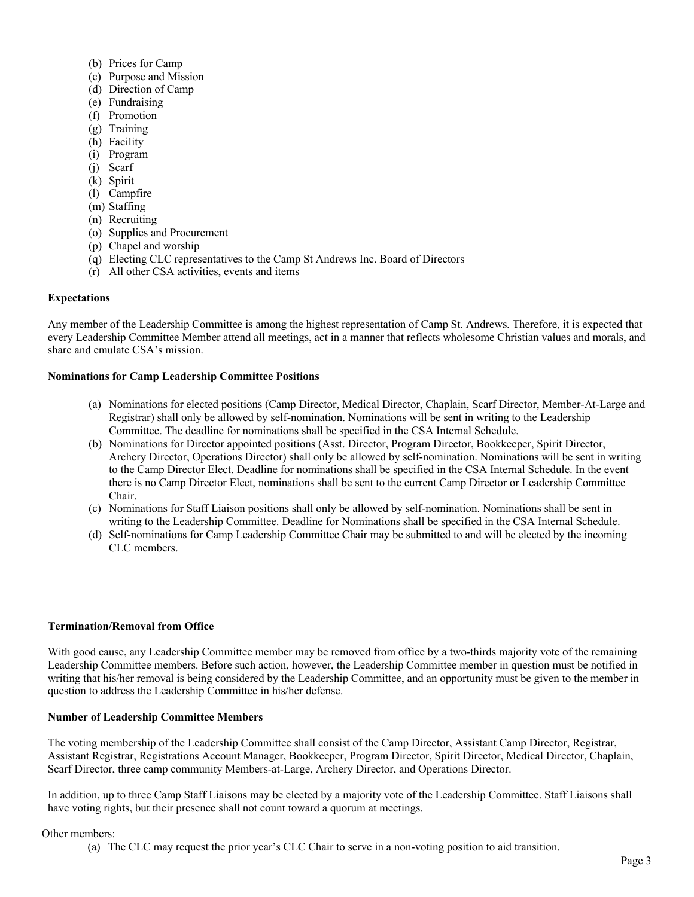- (b) Prices for Camp
- (c) Purpose and Mission
- (d) Direction of Camp
- (e) Fundraising
- (f) Promotion
- (g) Training
- (h) Facility
- (i) Program
- (j) Scarf
- (k) Spirit
- (l) Campfire
- (m) Staffing
- (n) Recruiting
- (o) Supplies and Procurement
- (p) Chapel and worship
- (q) Electing CLC representatives to the Camp St Andrews Inc. Board of Directors
- (r) All other CSA activities, events and items

# **Expectations**

Any member of the Leadership Committee is among the highest representation of Camp St. Andrews. Therefore, it is expected that every Leadership Committee Member attend all meetings, act in a manner that reflects wholesome Christian values and morals, and share and emulate CSA's mission.

# **Nominations for Camp Leadership Committee Positions**

- (a) Nominations for elected positions (Camp Director, Medical Director, Chaplain, Scarf Director, Member-At-Large and Registrar) shall only be allowed by self-nomination. Nominations will be sent in writing to the Leadership Committee. The deadline for nominations shall be specified in the CSA Internal Schedule.
- (b) Nominations for Director appointed positions (Asst. Director, Program Director, Bookkeeper, Spirit Director, Archery Director, Operations Director) shall only be allowed by self-nomination. Nominations will be sent in writing to the Camp Director Elect. Deadline for nominations shall be specified in the CSA Internal Schedule. In the event there is no Camp Director Elect, nominations shall be sent to the current Camp Director or Leadership Committee Chair.
- (c) Nominations for Staff Liaison positions shall only be allowed by self-nomination. Nominations shall be sent in writing to the Leadership Committee. Deadline for Nominations shall be specified in the CSA Internal Schedule.
- (d) Self-nominations for Camp Leadership Committee Chair may be submitted to and will be elected by the incoming CLC members.

# **Termination/Removal from Office**

With good cause, any Leadership Committee member may be removed from office by a two-thirds majority vote of the remaining Leadership Committee members. Before such action, however, the Leadership Committee member in question must be notified in writing that his/her removal is being considered by the Leadership Committee, and an opportunity must be given to the member in question to address the Leadership Committee in his/her defense.

# **Number of Leadership Committee Members**

The voting membership of the Leadership Committee shall consist of the Camp Director, Assistant Camp Director, Registrar, Assistant Registrar, Registrations Account Manager, Bookkeeper, Program Director, Spirit Director, Medical Director, Chaplain, Scarf Director, three camp community Members-at-Large, Archery Director, and Operations Director.

In addition, up to three Camp Staff Liaisons may be elected by a majority vote of the Leadership Committee. Staff Liaisons shall have voting rights, but their presence shall not count toward a quorum at meetings.

# Other members:

(a) The CLC may request the prior year's CLC Chair to serve in a non-voting position to aid transition.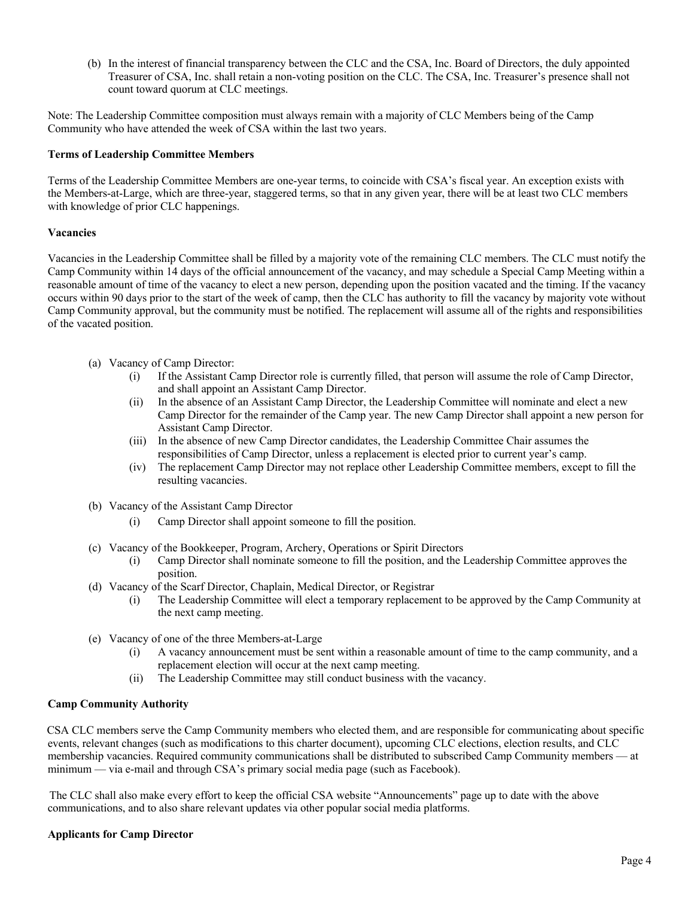(b) In the interest of financial transparency between the CLC and the CSA, Inc. Board of Directors, the duly appointed Treasurer of CSA, Inc. shall retain a non-voting position on the CLC. The CSA, Inc. Treasurer's presence shall not count toward quorum at CLC meetings.

Note: The Leadership Committee composition must always remain with a majority of CLC Members being of the Camp Community who have attended the week of CSA within the last two years.

# **Terms of Leadership Committee Members**

Terms of the Leadership Committee Members are one-year terms, to coincide with CSA's fiscal year. An exception exists with the Members-at-Large, which are three-year, staggered terms, so that in any given year, there will be at least two CLC members with knowledge of prior CLC happenings.

# **Vacancies**

Vacancies in the Leadership Committee shall be filled by a majority vote of the remaining CLC members. The CLC must notify the Camp Community within 14 days of the official announcement of the vacancy, and may schedule a Special Camp Meeting within a reasonable amount of time of the vacancy to elect a new person, depending upon the position vacated and the timing. If the vacancy occurs within 90 days prior to the start of the week of camp, then the CLC has authority to fill the vacancy by majority vote without Camp Community approval, but the community must be notified. The replacement will assume all of the rights and responsibilities of the vacated position.

- (a) Vacancy of Camp Director:
	- (i) If the Assistant Camp Director role is currently filled, that person will assume the role of Camp Director, and shall appoint an Assistant Camp Director.
	- (ii) In the absence of an Assistant Camp Director, the Leadership Committee will nominate and elect a new Camp Director for the remainder of the Camp year. The new Camp Director shall appoint a new person for Assistant Camp Director.
	- (iii) In the absence of new Camp Director candidates, the Leadership Committee Chair assumes the responsibilities of Camp Director, unless a replacement is elected prior to current year's camp.
	- (iv) The replacement Camp Director may not replace other Leadership Committee members, except to fill the resulting vacancies.
- (b) Vacancy of the Assistant Camp Director
	- (i) Camp Director shall appoint someone to fill the position.
- (c) Vacancy of the Bookkeeper, Program, Archery, Operations or Spirit Directors
	- (i) Camp Director shall nominate someone to fill the position, and the Leadership Committee approves the position.
- (d) Vacancy of the Scarf Director, Chaplain, Medical Director, or Registrar
	- (i) The Leadership Committee will elect a temporary replacement to be approved by the Camp Community at the next camp meeting.
- (e) Vacancy of one of the three Members-at-Large
	- A vacancy announcement must be sent within a reasonable amount of time to the camp community, and a replacement election will occur at the next camp meeting.
	- (ii) The Leadership Committee may still conduct business with the vacancy.

# **Camp Community Authority**

CSA CLC members serve the Camp Community members who elected them, and are responsible for communicating about specific events, relevant changes (such as modifications to this charter document), upcoming CLC elections, election results, and CLC membership vacancies. Required community communications shall be distributed to subscribed Camp Community members — at minimum — via e-mail and through CSA's primary social media page (such as Facebook).

The CLC shall also make every effort to keep the official CSA website "Announcements" page up to date with the above communications, and to also share relevant updates via other popular social media platforms.

# **Applicants for Camp Director**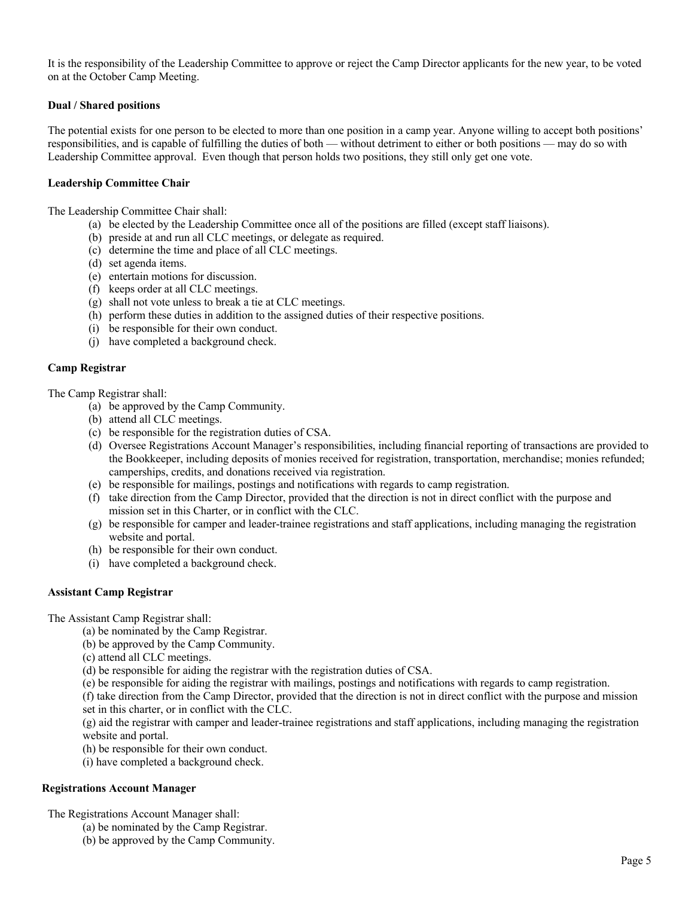It is the responsibility of the Leadership Committee to approve or reject the Camp Director applicants for the new year, to be voted on at the October Camp Meeting.

# **Dual / Shared positions**

The potential exists for one person to be elected to more than one position in a camp year. Anyone willing to accept both positions' responsibilities, and is capable of fulfilling the duties of both — without detriment to either or both positions — may do so with Leadership Committee approval. Even though that person holds two positions, they still only get one vote.

# **Leadership Committee Chair**

The Leadership Committee Chair shall:

- (a) be elected by the Leadership Committee once all of the positions are filled (except staff liaisons).
- (b) preside at and run all CLC meetings, or delegate as required.
- (c) determine the time and place of all CLC meetings.
- (d) set agenda items.
- (e) entertain motions for discussion.
- (f) keeps order at all CLC meetings.
- (g) shall not vote unless to break a tie at CLC meetings.
- (h) perform these duties in addition to the assigned duties of their respective positions.
- (i) be responsible for their own conduct.
- (j) have completed a background check.

# **Camp Registrar**

The Camp Registrar shall:

- (a) be approved by the Camp Community.
- (b) attend all CLC meetings.
- (c) be responsible for the registration duties of CSA.
- (d) Oversee Registrations Account Manager's responsibilities, including financial reporting of transactions are provided to the Bookkeeper, including deposits of monies received for registration, transportation, merchandise; monies refunded; camperships, credits, and donations received via registration.
- (e) be responsible for mailings, postings and notifications with regards to camp registration.
- (f) take direction from the Camp Director, provided that the direction is not in direct conflict with the purpose and mission set in this Charter, or in conflict with the CLC.
- (g) be responsible for camper and leader-trainee registrations and staff applications, including managing the registration website and portal.
- (h) be responsible for their own conduct.
- (i) have completed a background check.

# **Assistant Camp Registrar**

The Assistant Camp Registrar shall:

(a) be nominated by the Camp Registrar.

(b) be approved by the Camp Community.

- (c) attend all CLC meetings.
- (d) be responsible for aiding the registrar with the registration duties of CSA.
- (e) be responsible for aiding the registrar with mailings, postings and notifications with regards to camp registration.

(f) take direction from the Camp Director, provided that the direction is not in direct conflict with the purpose and mission set in this charter, or in conflict with the CLC.

(g) aid the registrar with camper and leader-trainee registrations and staff applications, including managing the registration website and portal.

- (h) be responsible for their own conduct.
- (i) have completed a background check.

# **Registrations Account Manager**

The Registrations Account Manager shall:

- (a) be nominated by the Camp Registrar.
- (b) be approved by the Camp Community.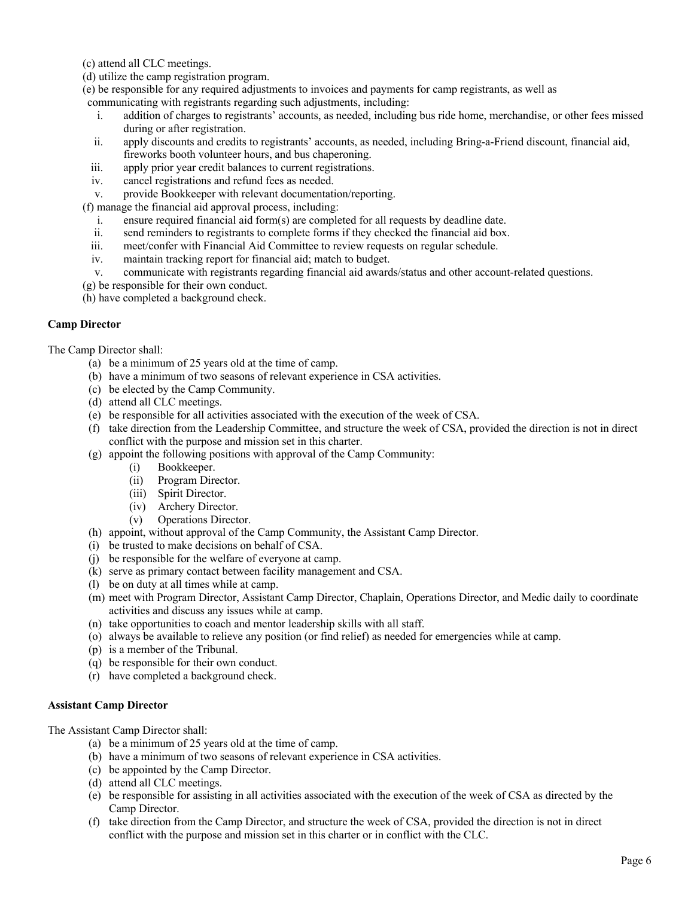(c) attend all CLC meetings.

(d) utilize the camp registration program.

(e) be responsible for any required adjustments to invoices and payments for camp registrants, as well as

communicating with registrants regarding such adjustments, including:

- i. addition of charges to registrants' accounts, as needed, including bus ride home, merchandise, or other fees missed during or after registration.
- ii. apply discounts and credits to registrants' accounts, as needed, including Bring-a-Friend discount, financial aid, fireworks booth volunteer hours, and bus chaperoning.
- iii. apply prior year credit balances to current registrations.
- iv. cancel registrations and refund fees as needed.
- v. provide Bookkeeper with relevant documentation/reporting.

(f) manage the financial aid approval process, including:

- i. ensure required financial aid form(s) are completed for all requests by deadline date.
- ii. send reminders to registrants to complete forms if they checked the financial aid box.
- iii. meet/confer with Financial Aid Committee to review requests on regular schedule.
- iv. maintain tracking report for financial aid; match to budget.
- v. communicate with registrants regarding financial aid awards/status and other account-related questions.
- (g) be responsible for their own conduct.

(h) have completed a background check.

# **Camp Director**

The Camp Director shall:

- (a) be a minimum of 25 years old at the time of camp.
- (b) have a minimum of two seasons of relevant experience in CSA activities.
- (c) be elected by the Camp Community.
- (d) attend all CLC meetings.
- (e) be responsible for all activities associated with the execution of the week of CSA.
- (f) take direction from the Leadership Committee, and structure the week of CSA, provided the direction is not in direct conflict with the purpose and mission set in this charter.
- (g) appoint the following positions with approval of the Camp Community:
	- (i) Bookkeeper.
	- (ii) Program Director.
	- (iii) Spirit Director.
	- (iv) Archery Director.
	- (v) Operations Director.
- (h) appoint, without approval of the Camp Community, the Assistant Camp Director.
- (i) be trusted to make decisions on behalf of CSA.
- (j) be responsible for the welfare of everyone at camp.
- (k) serve as primary contact between facility management and CSA.
- (l) be on duty at all times while at camp.
- (m) meet with Program Director, Assistant Camp Director, Chaplain, Operations Director, and Medic daily to coordinate activities and discuss any issues while at camp.
- (n) take opportunities to coach and mentor leadership skills with all staff.
- (o) always be available to relieve any position (or find relief) as needed for emergencies while at camp.
- (p) is a member of the Tribunal.
- (q) be responsible for their own conduct.
- (r) have completed a background check.

# **Assistant Camp Director**

The Assistant Camp Director shall:

- (a) be a minimum of 25 years old at the time of camp.
- (b) have a minimum of two seasons of relevant experience in CSA activities.
- (c) be appointed by the Camp Director.
- (d) attend all CLC meetings.
- (e) be responsible for assisting in all activities associated with the execution of the week of CSA as directed by the Camp Director.
- (f) take direction from the Camp Director, and structure the week of CSA, provided the direction is not in direct conflict with the purpose and mission set in this charter or in conflict with the CLC.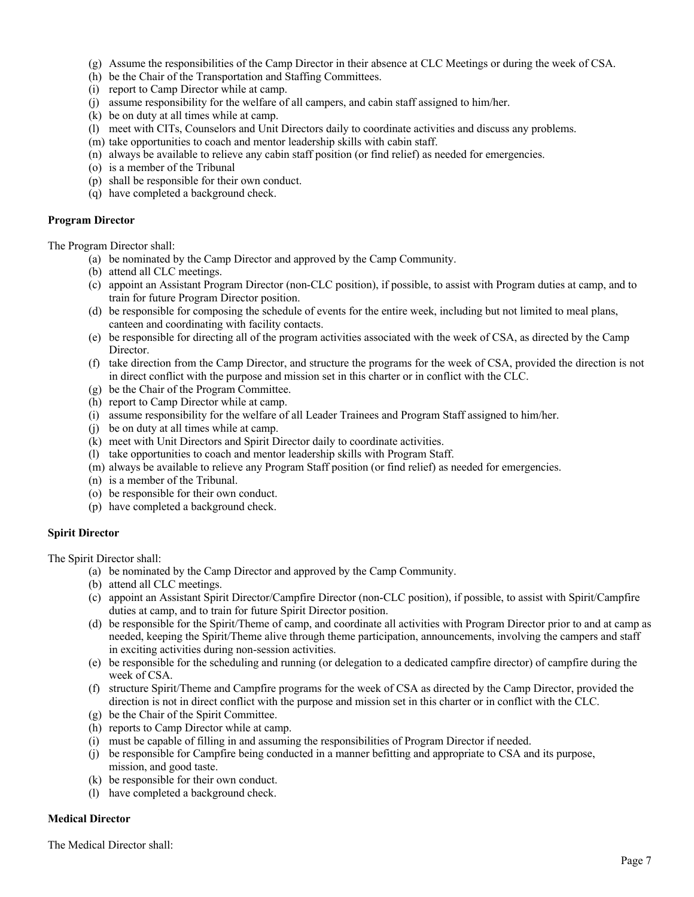- (g) Assume the responsibilities of the Camp Director in their absence at CLC Meetings or during the week of CSA.
- (h) be the Chair of the Transportation and Staffing Committees.
- (i) report to Camp Director while at camp.
- (j) assume responsibility for the welfare of all campers, and cabin staff assigned to him/her.
- (k) be on duty at all times while at camp.
- (l) meet with CITs, Counselors and Unit Directors daily to coordinate activities and discuss any problems.
- (m) take opportunities to coach and mentor leadership skills with cabin staff.
- (n) always be available to relieve any cabin staff position (or find relief) as needed for emergencies.
- (o) is a member of the Tribunal
- (p) shall be responsible for their own conduct.
- (q) have completed a background check.

#### **Program Director**

The Program Director shall:

- (a) be nominated by the Camp Director and approved by the Camp Community.
- (b) attend all CLC meetings.
- (c) appoint an Assistant Program Director (non-CLC position), if possible, to assist with Program duties at camp, and to train for future Program Director position.
- (d) be responsible for composing the schedule of events for the entire week, including but not limited to meal plans, canteen and coordinating with facility contacts.
- (e) be responsible for directing all of the program activities associated with the week of CSA, as directed by the Camp Director.
- (f) take direction from the Camp Director, and structure the programs for the week of CSA, provided the direction is not in direct conflict with the purpose and mission set in this charter or in conflict with the CLC.
- (g) be the Chair of the Program Committee.
- (h) report to Camp Director while at camp.
- (i) assume responsibility for the welfare of all Leader Trainees and Program Staff assigned to him/her.
- (j) be on duty at all times while at camp.
- (k) meet with Unit Directors and Spirit Director daily to coordinate activities.
- (l) take opportunities to coach and mentor leadership skills with Program Staff.
- (m) always be available to relieve any Program Staff position (or find relief) as needed for emergencies.
- (n) is a member of the Tribunal.
- (o) be responsible for their own conduct.
- (p) have completed a background check.

# **Spirit Director**

The Spirit Director shall:

- (a) be nominated by the Camp Director and approved by the Camp Community.
- (b) attend all CLC meetings.
- (c) appoint an Assistant Spirit Director/Campfire Director (non-CLC position), if possible, to assist with Spirit/Campfire duties at camp, and to train for future Spirit Director position.
- (d) be responsible for the Spirit/Theme of camp, and coordinate all activities with Program Director prior to and at camp as needed, keeping the Spirit/Theme alive through theme participation, announcements, involving the campers and staff in exciting activities during non-session activities.
- (e) be responsible for the scheduling and running (or delegation to a dedicated campfire director) of campfire during the week of CSA.
- (f) structure Spirit/Theme and Campfire programs for the week of CSA as directed by the Camp Director, provided the direction is not in direct conflict with the purpose and mission set in this charter or in conflict with the CLC.
- (g) be the Chair of the Spirit Committee.
- (h) reports to Camp Director while at camp.
- (i) must be capable of filling in and assuming the responsibilities of Program Director if needed.
- (j) be responsible for Campfire being conducted in a manner befitting and appropriate to CSA and its purpose, mission, and good taste.
- (k) be responsible for their own conduct.
- (l) have completed a background check.

# **Medical Director**

The Medical Director shall: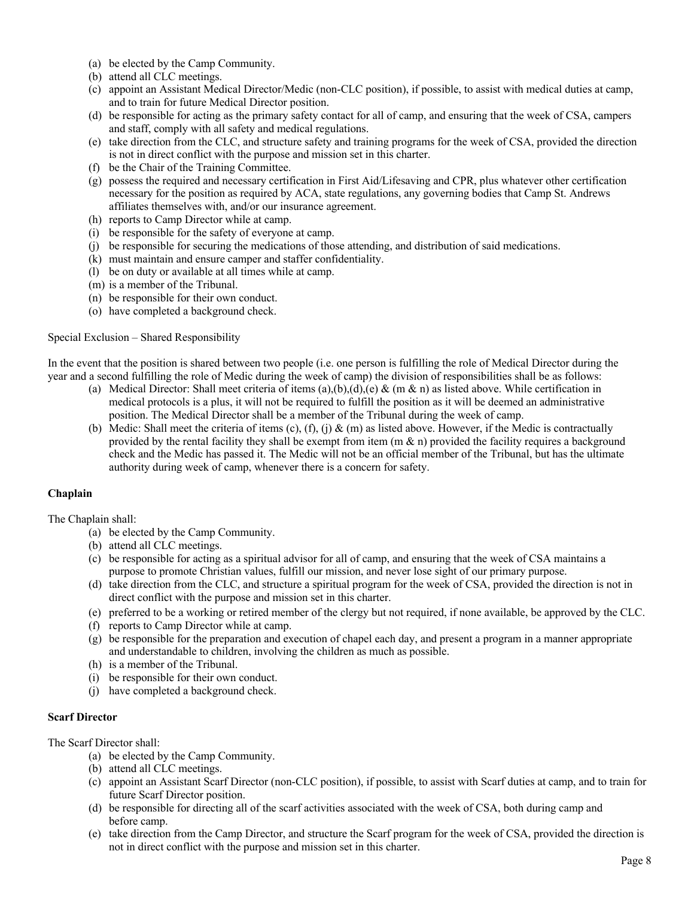- (a) be elected by the Camp Community.
- (b) attend all CLC meetings.
- (c) appoint an Assistant Medical Director/Medic (non-CLC position), if possible, to assist with medical duties at camp, and to train for future Medical Director position.
- (d) be responsible for acting as the primary safety contact for all of camp, and ensuring that the week of CSA, campers and staff, comply with all safety and medical regulations.
- (e) take direction from the CLC, and structure safety and training programs for the week of CSA, provided the direction is not in direct conflict with the purpose and mission set in this charter.
- (f) be the Chair of the Training Committee.
- (g) possess the required and necessary certification in First Aid/Lifesaving and CPR, plus whatever other certification necessary for the position as required by ACA, state regulations, any governing bodies that Camp St. Andrews affiliates themselves with, and/or our insurance agreement.
- (h) reports to Camp Director while at camp.
- (i) be responsible for the safety of everyone at camp.
- (j) be responsible for securing the medications of those attending, and distribution of said medications.
- (k) must maintain and ensure camper and staffer confidentiality.
- (l) be on duty or available at all times while at camp.
- (m) is a member of the Tribunal.
- (n) be responsible for their own conduct.
- (o) have completed a background check.

Special Exclusion – Shared Responsibility

In the event that the position is shared between two people (i.e. one person is fulfilling the role of Medical Director during the year and a second fulfilling the role of Medic during the week of camp) the division of responsibilities shall be as follows:

- (a) Medical Director: Shall meet criteria of items  $(a),(b),(d),(e)$  &  $(m \& n)$  as listed above. While certification in medical protocols is a plus, it will not be required to fulfill the position as it will be deemed an administrative position. The Medical Director shall be a member of the Tribunal during the week of camp.
- (b) Medic: Shall meet the criteria of items (c), (f), (j) & (m) as listed above. However, if the Medic is contractually provided by the rental facility they shall be exempt from item  $(m & n)$  provided the facility requires a background check and the Medic has passed it. The Medic will not be an official member of the Tribunal, but has the ultimate authority during week of camp, whenever there is a concern for safety.

# **Chaplain**

The Chaplain shall:

- (a) be elected by the Camp Community.
- (b) attend all CLC meetings.
- (c) be responsible for acting as a spiritual advisor for all of camp, and ensuring that the week of CSA maintains a purpose to promote Christian values, fulfill our mission, and never lose sight of our primary purpose.
- (d) take direction from the CLC, and structure a spiritual program for the week of CSA, provided the direction is not in direct conflict with the purpose and mission set in this charter.
- (e) preferred to be a working or retired member of the clergy but not required, if none available, be approved by the CLC.
- (f) reports to Camp Director while at camp.
- (g) be responsible for the preparation and execution of chapel each day, and present a program in a manner appropriate and understandable to children, involving the children as much as possible.
- (h) is a member of the Tribunal.
- (i) be responsible for their own conduct.
- (j) have completed a background check.

# **Scarf Director**

The Scarf Director shall:

- (a) be elected by the Camp Community.
- (b) attend all CLC meetings.
- (c) appoint an Assistant Scarf Director (non-CLC position), if possible, to assist with Scarf duties at camp, and to train for future Scarf Director position.
- (d) be responsible for directing all of the scarf activities associated with the week of CSA, both during camp and before camp.
- (e) take direction from the Camp Director, and structure the Scarf program for the week of CSA, provided the direction is not in direct conflict with the purpose and mission set in this charter.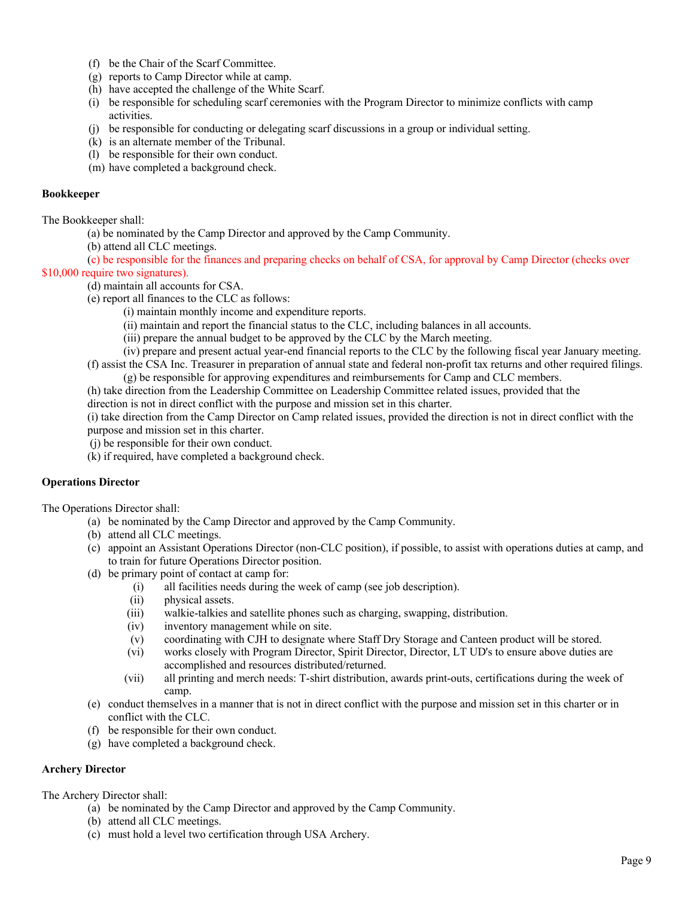- (f) be the Chair of the Scarf Committee.
- (g) reports to Camp Director while at camp.
- (h) have accepted the challenge of the White Scarf.
- (i) be responsible for scheduling scarf ceremonies with the Program Director to minimize conflicts with camp activities.
- (j) be responsible for conducting or delegating scarf discussions in a group or individual setting.
- (k) is an alternate member of the Tribunal.
- (l) be responsible for their own conduct.
- (m) have completed a background check.

# **Bookkeeper**

The Bookkeeper shall:

- (a) be nominated by the Camp Director and approved by the Camp Community.
- (b) attend all CLC meetings.

(c) be responsible for the finances and preparing checks on behalf of CSA, for approval by Camp Director (checks over \$10,000 require two signatures).

- (d) maintain all accounts for CSA.
	- (e) report all finances to the CLC as follows:
		- (i) maintain monthly income and expenditure reports.
		- (ii) maintain and report the financial status to the CLC, including balances in all accounts.
		- (iii) prepare the annual budget to be approved by the CLC by the March meeting.
	- (iv) prepare and present actual year-end financial reports to the CLC by the following fiscal year January meeting.
	- (f) assist the CSA Inc. Treasurer in preparation of annual state and federal non-profit tax returns and other required filings. (g) be responsible for approving expenditures and reimbursements for Camp and CLC members.

(h) take direction from the Leadership Committee on Leadership Committee related issues, provided that the

direction is not in direct conflict with the purpose and mission set in this charter.

(i) take direction from the Camp Director on Camp related issues, provided the direction is not in direct conflict with the purpose and mission set in this charter.

- (j) be responsible for their own conduct.
- (k) if required, have completed a background check.

# **Operations Director**

The Operations Director shall:

- (a) be nominated by the Camp Director and approved by the Camp Community.
- (b) attend all CLC meetings.
- (c) appoint an Assistant Operations Director (non-CLC position), if possible, to assist with operations duties at camp, and to train for future Operations Director position.
- (d) be primary point of contact at camp for:
	- (i) all facilities needs during the week of camp (see job description).
	- (ii) physical assets.
	- (iii) walkie-talkies and satellite phones such as charging, swapping, distribution.
	- (iv) inventory management while on site.
	- (v) coordinating with CJH to designate where Staff Dry Storage and Canteen product will be stored.
	- (vi) works closely with Program Director, Spirit Director, Director, LT UD's to ensure above duties are accomplished and resources distributed/returned.
	- (vii) all printing and merch needs: T-shirt distribution, awards print-outs, certifications during the week of camp.
- (e) conduct themselves in a manner that is not in direct conflict with the purpose and mission set in this charter or in conflict with the CLC.
- (f) be responsible for their own conduct.
- (g) have completed a background check.

# **Archery Director**

The Archery Director shall:

- (a) be nominated by the Camp Director and approved by the Camp Community.
- (b) attend all CLC meetings.
- (c) must hold a level two certification through USA Archery.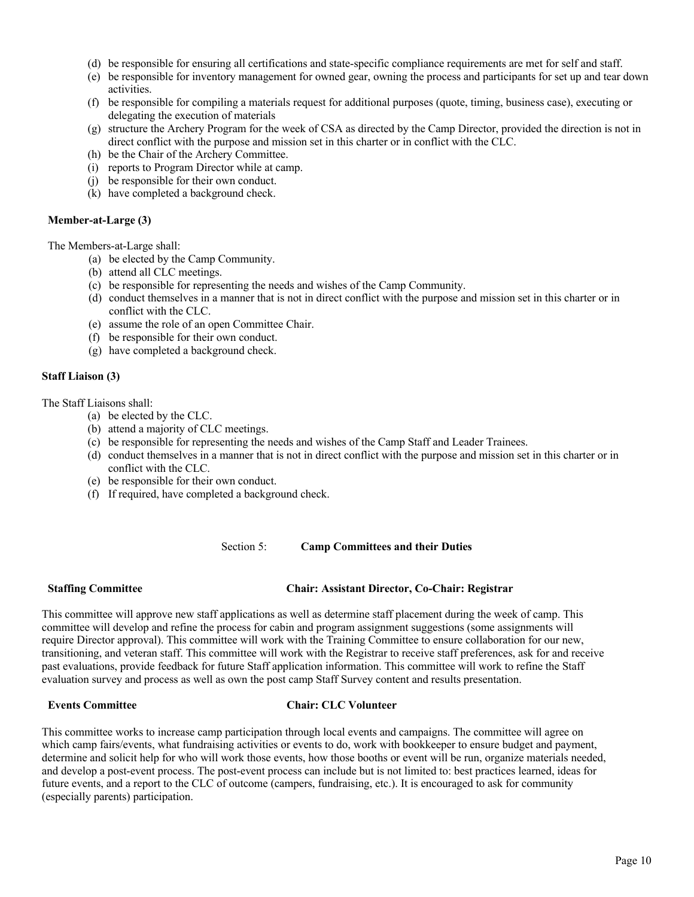- (d) be responsible for ensuring all certifications and state-specific compliance requirements are met for self and staff.
- (e) be responsible for inventory management for owned gear, owning the process and participants for set up and tear down activities.
- (f) be responsible for compiling a materials request for additional purposes (quote, timing, business case), executing or delegating the execution of materials
- (g) structure the Archery Program for the week of CSA as directed by the Camp Director, provided the direction is not in direct conflict with the purpose and mission set in this charter or in conflict with the CLC.
- (h) be the Chair of the Archery Committee.
- (i) reports to Program Director while at camp.
- (j) be responsible for their own conduct.
- (k) have completed a background check.

#### **Member-at-Large (3)**

#### The Members-at-Large shall:

- (a) be elected by the Camp Community.
- (b) attend all CLC meetings.
- (c) be responsible for representing the needs and wishes of the Camp Community.
- (d) conduct themselves in a manner that is not in direct conflict with the purpose and mission set in this charter or in conflict with the CLC.
- (e) assume the role of an open Committee Chair.
- (f) be responsible for their own conduct.
- (g) have completed a background check.

#### **Staff Liaison (3)**

The Staff Liaisons shall:

- (a) be elected by the CLC.
- (b) attend a majority of CLC meetings.
- (c) be responsible for representing the needs and wishes of the Camp Staff and Leader Trainees.
- (d) conduct themselves in a manner that is not in direct conflict with the purpose and mission set in this charter or in conflict with the CLC.
- (e) be responsible for their own conduct.
- (f) If required, have completed a background check.

Section 5: **Camp Committees and their Duties**

# **Staffing Committee Chair: Assistant Director, Co-Chair: Registrar**

This committee will approve new staff applications as well as determine staff placement during the week of camp. This committee will develop and refine the process for cabin and program assignment suggestions (some assignments will require Director approval). This committee will work with the Training Committee to ensure collaboration for our new, transitioning, and veteran staff. This committee will work with the Registrar to receive staff preferences, ask for and receive past evaluations, provide feedback for future Staff application information. This committee will work to refine the Staff evaluation survey and process as well as own the post camp Staff Survey content and results presentation.

# **Events Committee Chair: CLC Volunteer**

This committee works to increase camp participation through local events and campaigns. The committee will agree on which camp fairs/events, what fundraising activities or events to do, work with bookkeeper to ensure budget and payment, determine and solicit help for who will work those events, how those booths or event will be run, organize materials needed, and develop a post-event process. The post-event process can include but is not limited to: best practices learned, ideas for future events, and a report to the CLC of outcome (campers, fundraising, etc.). It is encouraged to ask for community (especially parents) participation.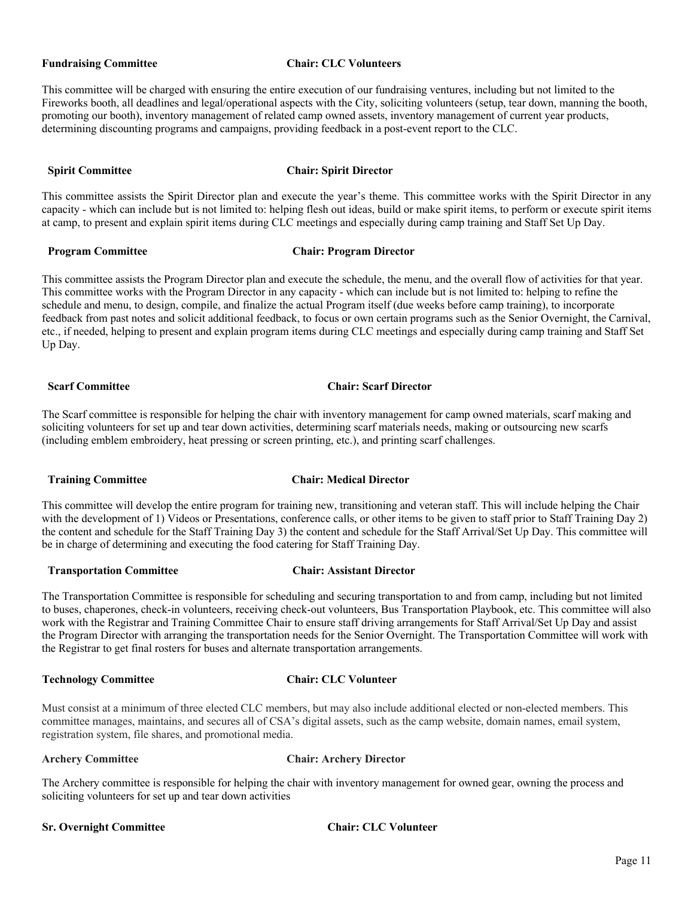#### **Fundraising Committee Chair: CLC Volunteers**

This committee will be charged with ensuring the entire execution of our fundraising ventures, including but not limited to the Fireworks booth, all deadlines and legal/operational aspects with the City, soliciting volunteers (setup, tear down, manning the booth, promoting our booth), inventory management of related camp owned assets, inventory management of current year products, determining discounting programs and campaigns, providing feedback in a post-event report to the CLC.

#### **Spirit Committee Chair: Spirit Director**

This committee assists the Spirit Director plan and execute the year's theme. This committee works with the Spirit Director in any capacity - which can include but is not limited to: helping flesh out ideas, build or make spirit items, to perform or execute spirit items at camp, to present and explain spirit items during CLC meetings and especially during camp training and Staff Set Up Day.

#### **Program Committee Chair: Program Director**

This committee assists the Program Director plan and execute the schedule, the menu, and the overall flow of activities for that year. This committee works with the Program Director in any capacity - which can include but is not limited to: helping to refine the schedule and menu, to design, compile, and finalize the actual Program itself (due weeks before camp training), to incorporate feedback from past notes and solicit additional feedback, to focus or own certain programs such as the Senior Overnight, the Carnival, etc., if needed, helping to present and explain program items during CLC meetings and especially during camp training and Staff Set Up Day.

#### **Scarf Committee Chair: Scarf Director**

The Scarf committee is responsible for helping the chair with inventory management for camp owned materials, scarf making and soliciting volunteers for set up and tear down activities, determining scarf materials needs, making or outsourcing new scarfs (including emblem embroidery, heat pressing or screen printing, etc.), and printing scarf challenges.

# **Training Committee Chair: Medical Director**

This committee will develop the entire program for training new, transitioning and veteran staff. This will include helping the Chair with the development of 1) Videos or Presentations, conference calls, or other items to be given to staff prior to Staff Training Day 2) the content and schedule for the Staff Training Day 3) the content and schedule for the Staff Arrival/Set Up Day. This committee will be in charge of determining and executing the food catering for Staff Training Day.

# **Transportation Committee Chair: Assistant Director**

#### The Transportation Committee is responsible for scheduling and securing transportation to and from camp, including but not limited to buses, chaperones, check-in volunteers, receiving check-out volunteers, Bus Transportation Playbook, etc. This committee will also work with the Registrar and Training Committee Chair to ensure staff driving arrangements for Staff Arrival/Set Up Day and assist the Program Director with arranging the transportation needs for the Senior Overnight. The Transportation Committee will work with the Registrar to get final rosters for buses and alternate transportation arrangements.

# **Technology Committee Chair: CLC Volunteer**

Must consist at a minimum of three elected CLC members, but may also include additional elected or non-elected members. This committee manages, maintains, and secures all of CSA's digital assets, such as the camp website, domain names, email system, registration system, file shares, and promotional media.

# **Archery Committee Chair: Archery Director**

The Archery committee is responsible for helping the chair with inventory management for owned gear, owning the process and soliciting volunteers for set up and tear down activities

#### **Sr. Overnight Committee Chair: CLC Volunteer**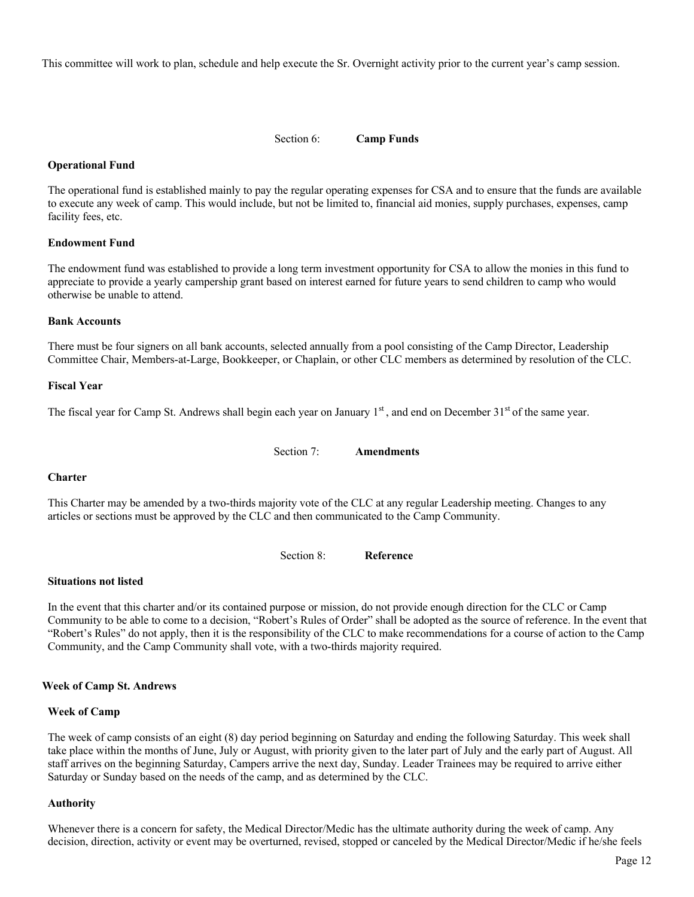This committee will work to plan, schedule and help execute the Sr. Overnight activity prior to the current year's camp session.

#### Section 6: **Camp Funds**

# **Operational Fund**

The operational fund is established mainly to pay the regular operating expenses for CSA and to ensure that the funds are available to execute any week of camp. This would include, but not be limited to, financial aid monies, supply purchases, expenses, camp facility fees, etc.

#### **Endowment Fund**

The endowment fund was established to provide a long term investment opportunity for CSA to allow the monies in this fund to appreciate to provide a yearly campership grant based on interest earned for future years to send children to camp who would otherwise be unable to attend.

#### **Bank Accounts**

There must be four signers on all bank accounts, selected annually from a pool consisting of the Camp Director, Leadership Committee Chair, Members-at-Large, Bookkeeper, or Chaplain, or other CLC members as determined by resolution of the CLC.

#### **Fiscal Year**

The fiscal year for Camp St. Andrews shall begin each year on January  $1<sup>st</sup>$ , and end on December  $31<sup>st</sup>$  of the same year.

Section 7: **Amendments**

#### **Charter**

This Charter may be amended by a two-thirds majority vote of the CLC at any regular Leadership meeting. Changes to any articles or sections must be approved by the CLC and then communicated to the Camp Community.

Section 8: **Reference**

#### **Situations not listed**

In the event that this charter and/or its contained purpose or mission, do not provide enough direction for the CLC or Camp Community to be able to come to a decision, "Robert's Rules of Order" shall be adopted as the source of reference. In the event that "Robert's Rules" do not apply, then it is the responsibility of the CLC to make recommendations for a course of action to the Camp Community, and the Camp Community shall vote, with a two-thirds majority required.

#### **Week of Camp St. Andrews**

#### **Week of Camp**

The week of camp consists of an eight (8) day period beginning on Saturday and ending the following Saturday. This week shall take place within the months of June, July or August, with priority given to the later part of July and the early part of August. All staff arrives on the beginning Saturday, Campers arrive the next day, Sunday. Leader Trainees may be required to arrive either Saturday or Sunday based on the needs of the camp, and as determined by the CLC.

#### **Authority**

Whenever there is a concern for safety, the Medical Director/Medic has the ultimate authority during the week of camp. Any decision, direction, activity or event may be overturned, revised, stopped or canceled by the Medical Director/Medic if he/she feels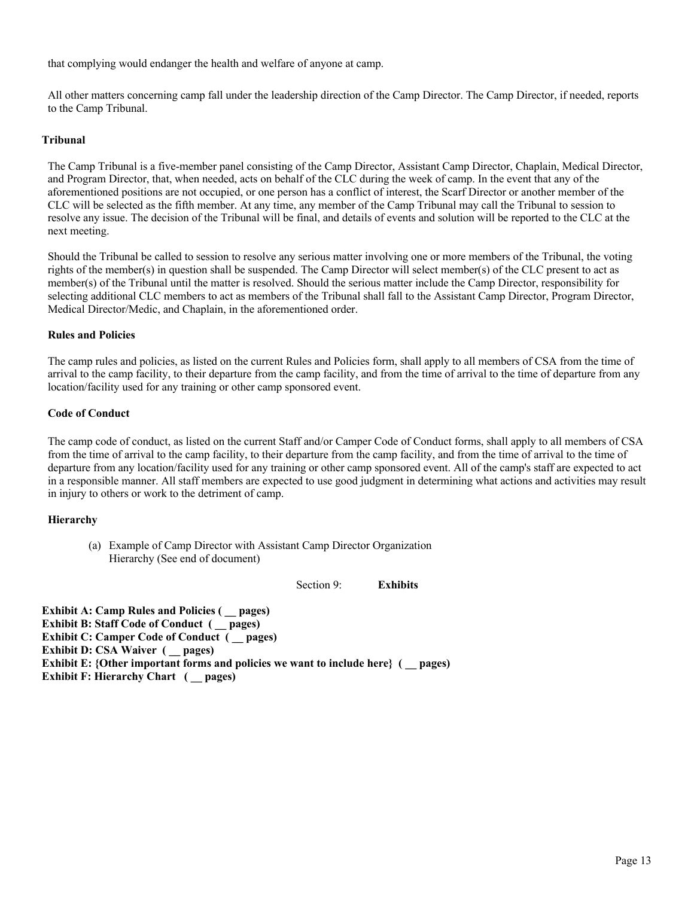that complying would endanger the health and welfare of anyone at camp.

All other matters concerning camp fall under the leadership direction of the Camp Director. The Camp Director, if needed, reports to the Camp Tribunal.

# **Tribunal**

The Camp Tribunal is a five-member panel consisting of the Camp Director, Assistant Camp Director, Chaplain, Medical Director, and Program Director, that, when needed, acts on behalf of the CLC during the week of camp. In the event that any of the aforementioned positions are not occupied, or one person has a conflict of interest, the Scarf Director or another member of the CLC will be selected as the fifth member. At any time, any member of the Camp Tribunal may call the Tribunal to session to resolve any issue. The decision of the Tribunal will be final, and details of events and solution will be reported to the CLC at the next meeting.

Should the Tribunal be called to session to resolve any serious matter involving one or more members of the Tribunal, the voting rights of the member(s) in question shall be suspended. The Camp Director will select member(s) of the CLC present to act as member(s) of the Tribunal until the matter is resolved. Should the serious matter include the Camp Director, responsibility for selecting additional CLC members to act as members of the Tribunal shall fall to the Assistant Camp Director, Program Director, Medical Director/Medic, and Chaplain, in the aforementioned order.

#### **Rules and Policies**

The camp rules and policies, as listed on the current Rules and Policies form, shall apply to all members of CSA from the time of arrival to the camp facility, to their departure from the camp facility, and from the time of arrival to the time of departure from any location/facility used for any training or other camp sponsored event.

#### **Code of Conduct**

The camp code of conduct, as listed on the current Staff and/or Camper Code of Conduct forms, shall apply to all members of CSA from the time of arrival to the camp facility, to their departure from the camp facility, and from the time of arrival to the time of departure from any location/facility used for any training or other camp sponsored event. All of the camp's staff are expected to act in a responsible manner. All staff members are expected to use good judgment in determining what actions and activities may result in injury to others or work to the detriment of camp.

# **Hierarchy**

(a) Example of Camp Director with Assistant Camp Director Organization Hierarchy (See end of document)

Section 9: **Exhibits** 

**Exhibit A: Camp Rules and Policies ( \_\_ pages) Exhibit B: Staff Code of Conduct ( \_\_ pages) Exhibit C: Camper Code of Conduct ( \_\_ pages) Exhibit D: CSA Waiver ( \_\_ pages) Exhibit E:** {Other important forms and policies we want to include here} ( \_\_ pages) **Exhibit F: Hierarchy Chart ( \_\_ pages)**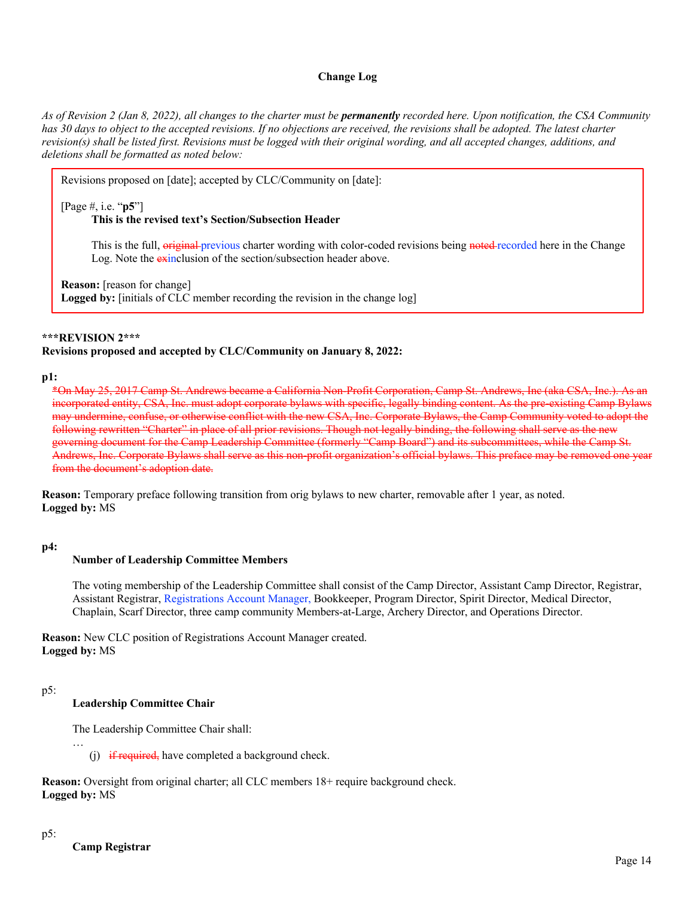#### **Change Log**

*As of Revision 2 (Jan 8, 2022), all changes to the charter must be permanently recorded here. Upon notification, the CSA Community*  has 30 days to object to the accepted revisions. If no objections are received, the revisions shall be adopted. The latest charter *revision(s) shall be listed first. Revisions must be logged with their original wording, and all accepted changes, additions, and deletions shall be formatted as noted below:*

Revisions proposed on [date]; accepted by CLC/Community on [date]:

[Page #, i.e. "**p5**"]

#### **This is the revised text's Section/Subsection Header**

This is the full, original previous charter wording with color-coded revisions being noted recorded here in the Change Log. Note the exinclusion of the section/subsection header above.

**Reason:** [reason for change]

**Logged by:** [initials of CLC member recording the revision in the change log]

#### **\*\*\*REVISION 2\*\*\***

#### **Revisions proposed and accepted by CLC/Community on January 8, 2022:**

#### **p1:**

\*On May 25, 2017 Camp St. Andrews became a California Non-Profit Corporation, Camp St. Andrews, Inc (aka CSA, Inc.). As an incorporated entity, CSA, Inc. must adopt corporate bylaws with specific, legally binding content. As the pre-existing Camp Bylaws may undermine, confuse, or otherwise conflict with the new CSA, Inc. Corporate Bylaws, the Camp Community voted to adopt the following rewritten "Charter" in place of all prior revisions. Though not legally binding, the following shall serve as the new governing document for the Camp Leadership Committee (formerly "Camp Board") and its subcommittees, while the Camp St. Andrews, Inc. Corporate Bylaws shall serve as this non-profit organization's official bylaws. This preface may be removed one y from the document's adoption date.

**Reason:** Temporary preface following transition from orig bylaws to new charter, removable after 1 year, as noted. **Logged by:** MS

#### **p4:**

#### **Number of Leadership Committee Members**

The voting membership of the Leadership Committee shall consist of the Camp Director, Assistant Camp Director, Registrar, Assistant Registrar, Registrations Account Manager, Bookkeeper, Program Director, Spirit Director, Medical Director, Chaplain, Scarf Director, three camp community Members-at-Large, Archery Director, and Operations Director.

**Reason:** New CLC position of Registrations Account Manager created. **Logged by:** MS

#### p5:

…

#### **Leadership Committee Chair**

The Leadership Committee Chair shall:

(i)  $\overrightarrow{if}$  required, have completed a background check.

**Reason:** Oversight from original charter; all CLC members  $18+$  require background check. **Logged by:** MS

# p5: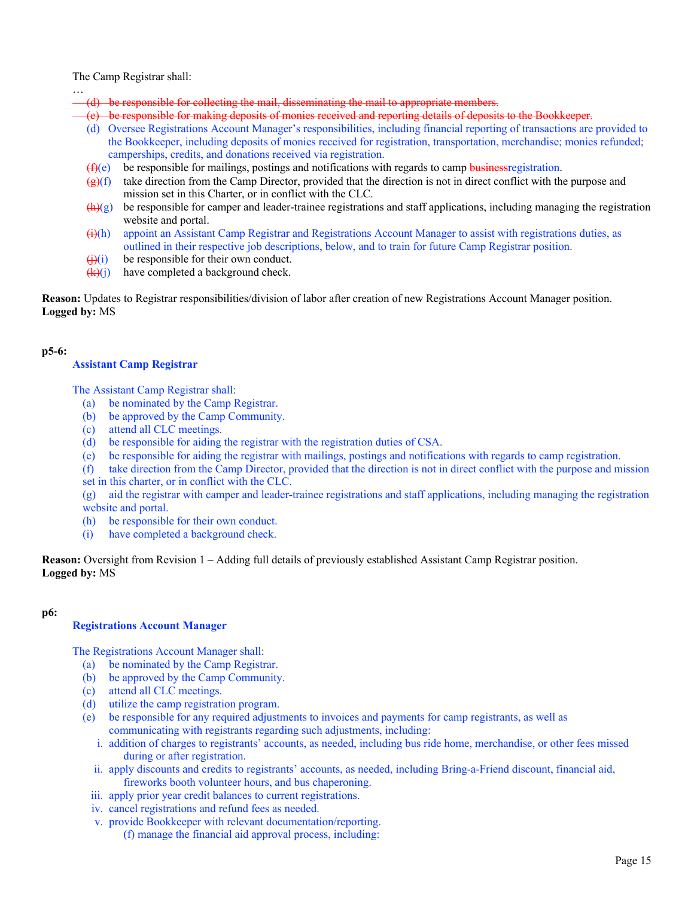The Camp Registrar shall:

…

- (d) be responsible for collecting the mail, disseminating the mail to appropriate members.
- (e) be responsible for making deposits of monies received and reporting details of deposits to the Bookkeeper.
- (d) Oversee Registrations Account Manager's responsibilities, including financial reporting of transactions are provided to the Bookkeeper, including deposits of monies received for registration, transportation, merchandise; monies refunded; camperships, credits, and donations received via registration.
- $(f)(e)$  be responsible for mailings, postings and notifications with regards to camp business registration.
- $(g)(f)$  take direction from the Camp Director, provided that the direction is not in direct conflict with the purpose and mission set in this Charter, or in conflict with the CLC.
- $\bigoplus$ (g) be responsible for camper and leader-trainee registrations and staff applications, including managing the registration website and portal.
- $(H)$  appoint an Assistant Camp Registrar and Registrations Account Manager to assist with registrations duties, as outlined in their respective job descriptions, below, and to train for future Camp Registrar position.
- $\overrightarrow{(i)}$  be responsible for their own conduct.
- $(k)(j)$  have completed a background check.

**Reason:** Updates to Registrar responsibilities/division of labor after creation of new Registrations Account Manager position. **Logged by:** MS

#### **p5-6:**

#### **Assistant Camp Registrar**

The Assistant Camp Registrar shall:

- (a) be nominated by the Camp Registrar.
- (b) be approved by the Camp Community.
- (c) attend all CLC meetings.
- (d) be responsible for aiding the registrar with the registration duties of CSA.
- (e) be responsible for aiding the registrar with mailings, postings and notifications with regards to camp registration.
- (f) take direction from the Camp Director, provided that the direction is not in direct conflict with the purpose and mission set in this charter, or in conflict with the CLC.

(g) aid the registrar with camper and leader-trainee registrations and staff applications, including managing the registration website and portal.

- (h) be responsible for their own conduct.
- (i) have completed a background check.

**Reason:** Oversight from Revision 1 – Adding full details of previously established Assistant Camp Registrar position. **Logged by:** MS

#### **p6:**

#### **Registrations Account Manager**

The Registrations Account Manager shall:

- (a) be nominated by the Camp Registrar.
- (b) be approved by the Camp Community.
- (c) attend all CLC meetings.
- (d) utilize the camp registration program.
- (e) be responsible for any required adjustments to invoices and payments for camp registrants, as well as communicating with registrants regarding such adjustments, including:
	- i. addition of charges to registrants' accounts, as needed, including bus ride home, merchandise, or other fees missed during or after registration.
	- ii. apply discounts and credits to registrants' accounts, as needed, including Bring-a-Friend discount, financial aid, fireworks booth volunteer hours, and bus chaperoning.
	- iii. apply prior year credit balances to current registrations.
	- iv. cancel registrations and refund fees as needed.
	- v. provide Bookkeeper with relevant documentation/reporting.
		- (f) manage the financial aid approval process, including: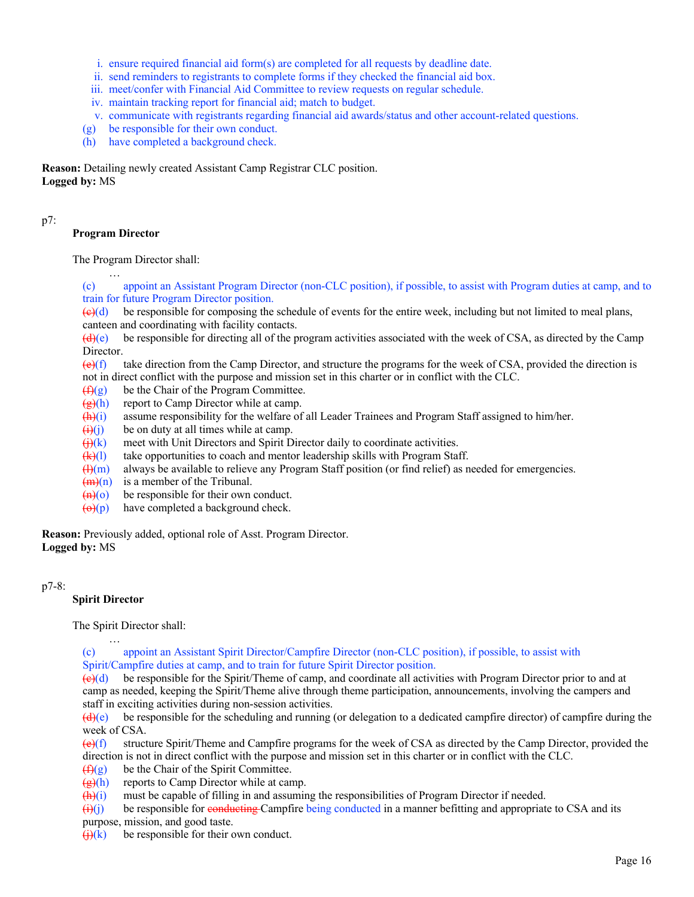- i. ensure required financial aid form(s) are completed for all requests by deadline date.
- ii. send reminders to registrants to complete forms if they checked the financial aid box.
- iii. meet/confer with Financial Aid Committee to review requests on regular schedule.
- iv. maintain tracking report for financial aid; match to budget.
- v. communicate with registrants regarding financial aid awards/status and other account-related questions.
- (g) be responsible for their own conduct.
- (h) have completed a background check.

**Reason:** Detailing newly created Assistant Camp Registrar CLC position. **Logged by:** MS

# p7:

# **Program Director**

…

The Program Director shall:

(c) appoint an Assistant Program Director (non-CLC position), if possible, to assist with Program duties at camp, and to train for future Program Director position.

 $\left(\frac{e}{c}\right)$  be responsible for composing the schedule of events for the entire week, including but not limited to meal plans, canteen and coordinating with facility contacts.

 $(d)$ (e) be responsible for directing all of the program activities associated with the week of CSA, as directed by the Camp Director.

 $\left(\frac{\Theta}{f}\right)$  take direction from the Camp Director, and structure the programs for the week of CSA, provided the direction is not in direct conflict with the purpose and mission set in this charter or in conflict with the CLC.

- $(f)(g)$  be the Chair of the Program Committee.
- $\left(\frac{g}{g}\right)$ (h) report to Camp Director while at camp.
- $(h)(i)$  assume responsibility for the welfare of all Leader Trainees and Program Staff assigned to him/her.
- $\overline{(i)(i)}$  be on duty at all times while at camp.
- $\left(\frac{f}{f}\right)(k)$  meet with Unit Directors and Spirit Director daily to coordinate activities.
- $(k)(l)$  take opportunities to coach and mentor leadership skills with Program Staff.
- $\frac{H(m)}{m}$  always be available to relieve any Program Staff position (or find relief) as needed for emergencies.
- $(m)(n)$  is a member of the Tribunal.
- $\left(\frac{f(n)}{n}\right)$  be responsible for their own conduct.
- $\Theta(p)$  have completed a background check.

**Reason:** Previously added, optional role of Asst. Program Director. **Logged by:** MS

# p7-8:

# **Spirit Director**

…

The Spirit Director shall:

(c) appoint an Assistant Spirit Director/Campfire Director (non-CLC position), if possible, to assist with Spirit/Campfire duties at camp, and to train for future Spirit Director position.

 $\left(\frac{\Theta}{\Theta}\right)$  be responsible for the Spirit/Theme of camp, and coordinate all activities with Program Director prior to and at camp as needed, keeping the Spirit/Theme alive through theme participation, announcements, involving the campers and staff in exciting activities during non-session activities.

 $(d)(e)$  be responsible for the scheduling and running (or delegation to a dedicated campfire director) of campfire during the week of CSA.

 $\left(\frac{e}{f}\right)$  structure Spirit/Theme and Campfire programs for the week of CSA as directed by the Camp Director, provided the direction is not in direct conflict with the purpose and mission set in this charter or in conflict with the CLC.

 $(f)(g)$  be the Chair of the Spirit Committee.

 $\frac{1}{\sqrt{g}}(h)$  reports to Camp Director while at camp.

 $\bigoplus$  (i) must be capable of filling in and assuming the responsibilities of Program Director if needed.

 $(i)(j)$  be responsible for conducting Campfire being conducted in a manner befitting and appropriate to CSA and its

purpose, mission, and good taste.

 $\left(\frac{1}{k}\right)(k)$  be responsible for their own conduct.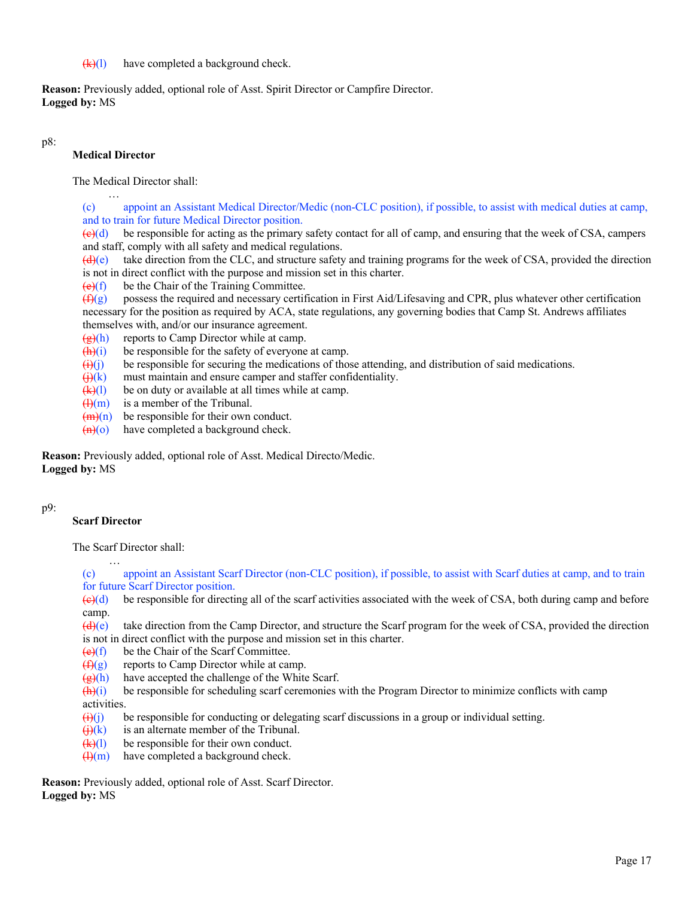#### $(k)(l)$  have completed a background check.

**Reason:** Previously added, optional role of Asst. Spirit Director or Campfire Director. **Logged by:** MS

#### p8:

# **Medical Director**

…

The Medical Director shall:

(c) appoint an Assistant Medical Director/Medic (non-CLC position), if possible, to assist with medical duties at camp, and to train for future Medical Director position.

 $\left(\frac{\Theta}{\Theta}\right)$  be responsible for acting as the primary safety contact for all of camp, and ensuring that the week of CSA, campers and staff, comply with all safety and medical regulations.

 $(d)(e)$  take direction from the CLC, and structure safety and training programs for the week of CSA, provided the direction is not in direct conflict with the purpose and mission set in this charter.

 $(e)(f)$  be the Chair of the Training Committee.

 $(f)(g)$  possess the required and necessary certification in First Aid/Lifesaving and CPR, plus whatever other certification necessary for the position as required by ACA, state regulations, any governing bodies that Camp St. Andrews affiliates themselves with, and/or our insurance agreement.

- $\left(\frac{\mathbf{g}}{\mathbf{g}}\right)$  reports to Camp Director while at camp.
- $\frac{h(x)}{h(x)}$  be responsible for the safety of everyone at camp.
- $(i)(j)$  be responsible for securing the medications of those attending, and distribution of said medications.
- $\bigoplus (k)$  must maintain and ensure camper and staffer confidentiality.
- $(k)(l)$  be on duty or available at all times while at camp.
- $\left(\frac{H}{m}\right)$  is a member of the Tribunal.
- $\frac{1}{2}$ (m)(n) be responsible for their own conduct.
- $\left(\frac{h}{c}\right)$  have completed a background check.

**Reason:** Previously added, optional role of Asst. Medical Directo/Medic. **Logged by:** MS

# p9:

# **Scarf Director**

The Scarf Director shall:

… (c) appoint an Assistant Scarf Director (non-CLC position), if possible, to assist with Scarf duties at camp, and to train for future Scarf Director position.

 $\left(\frac{\theta}{\theta}\right)$  be responsible for directing all of the scarf activities associated with the week of CSA, both during camp and before camp.

 $(d)$ (e) take direction from the Camp Director, and structure the Scarf program for the week of CSA, provided the direction is not in direct conflict with the purpose and mission set in this charter.

- $(e)(f)$  be the Chair of the Scarf Committee.
- $(f)(g)$  reports to Camp Director while at camp.
- $(g)(h)$  have accepted the challenge of the White Scarf.

 $\frac{h(x)}{h(x)}$  be responsible for scheduling scarf ceremonies with the Program Director to minimize conflicts with camp activities.

 $\Theta(i)$  be responsible for conducting or delegating scarf discussions in a group or individual setting.

- $\left(\frac{1}{k}\right)(k)$  is an alternate member of the Tribunal.
- $(k)(l)$  be responsible for their own conduct.
- $\frac{H(m)}{m}$  have completed a background check.

**Reason:** Previously added, optional role of Asst. Scarf Director. **Logged by:** MS